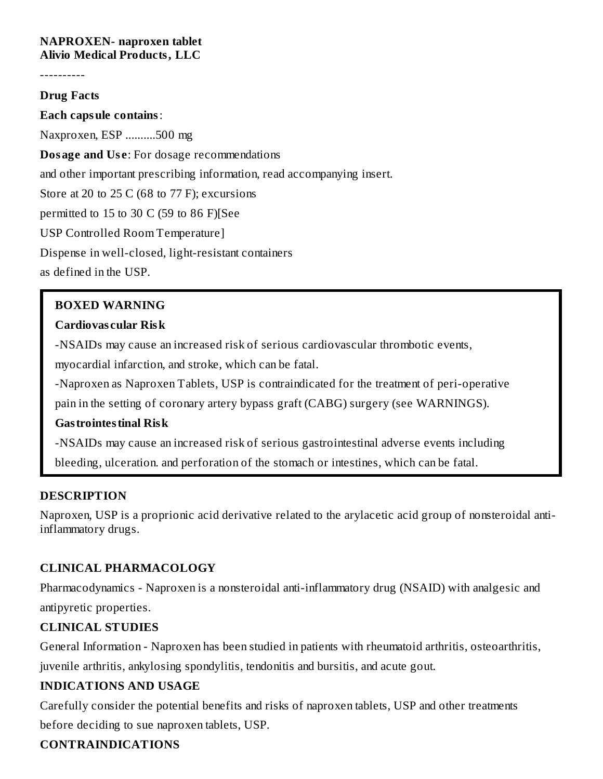#### **NAPROXEN- naproxen tablet Alivio Medical Products, LLC**

----------

#### **Drug Facts**

**Each capsule contains**: Naxproxen, ESP ..........500 mg **Dosage and Us e**: For dosage recommendations and other important prescribing information, read accompanying insert. Store at 20 to 25 C (68 to 77 F); excursions permitted to  $15$  to  $30 \text{ C}$  (59 to  $86 \text{ F}$ ) [See USP Controlled Room Temperature] Dispense in well-closed, light-resistant containers as defined in the USP.

### **BOXED WARNING**

#### **Cardiovas cular Risk**

-NSAIDs may cause an increased risk of serious cardiovascular thrombotic events,

myocardial infarction, and stroke, which can be fatal.

-Naproxen as Naproxen Tablets, USP is contraindicated for the treatment of peri-operative

pain in the setting of coronary artery bypass graft (CABG) surgery (see WARNINGS).

#### **Gastrointestinal Risk**

-NSAIDs may cause an increased risk of serious gastrointestinal adverse events including bleeding, ulceration. and perforation of the stomach or intestines, which can be fatal.

#### **DESCRIPTION**

Naproxen, USP is a proprionic acid derivative related to the arylacetic acid group of nonsteroidal antiinflammatory drugs.

### **CLINICAL PHARMACOLOGY**

Pharmacodynamics - Naproxen is a nonsteroidal anti-inflammatory drug (NSAID) with analgesic and antipyretic properties.

### **CLINICAL STUDIES**

General Information - Naproxen has been studied in patients with rheumatoid arthritis, osteoarthritis, juvenile arthritis, ankylosing spondylitis, tendonitis and bursitis, and acute gout.

### **INDICATIONS AND USAGE**

Carefully consider the potential benefits and risks of naproxen tablets, USP and other treatments before deciding to sue naproxen tablets, USP.

### **CONTRAINDICATIONS**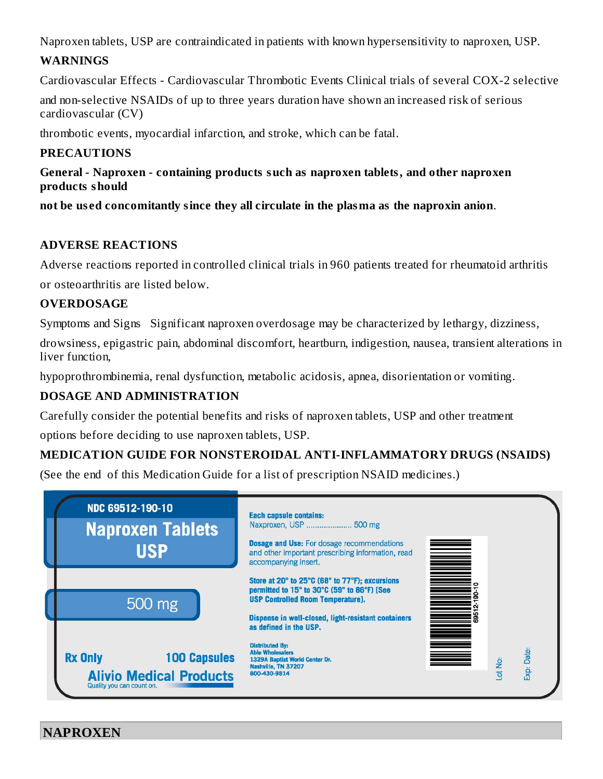Naproxen tablets, USP are contraindicated in patients with known hypersensitivity to naproxen, USP.

# **WARNINGS**

Cardiovascular Effects - Cardiovascular Thrombotic Events Clinical trials of several COX-2 selective

and non-selective NSAIDs of up to three years duration have shown an increased risk of serious cardiovascular (CV)

thrombotic events, myocardial infarction, and stroke, which can be fatal.

# **PRECAUTIONS**

### **General - Naproxen - containing products such as naproxen tablets, and other naproxen products should**

**not be us ed concomitantly since they all circulate in the plasma as the naproxin anion**.

# **ADVERSE REACTIONS**

Adverse reactions reported in controlled clinical trials in 960 patients treated for rheumatoid arthritis

or osteoarthritis are listed below.

# **OVERDOSAGE**

Symptoms and Signs Significant naproxen overdosage may be characterized by lethargy, dizziness,

drowsiness, epigastric pain, abdominal discomfort, heartburn, indigestion, nausea, transient alterations in liver function,

hypoprothrombinemia, renal dysfunction, metabolic acidosis, apnea, disorientation or vomiting.

# **DOSAGE AND ADMINISTRATION**

Carefully consider the potential benefits and risks of naproxen tablets, USP and other treatment options before deciding to use naproxen tablets, USP.

# **MEDICATION GUIDE FOR NONSTEROIDAL ANTI-INFLAMMATORY DRUGS (NSAIDS)**

(See the end of this Medication Guide for a list of prescription NSAID medicines.)



**NAPROXEN**